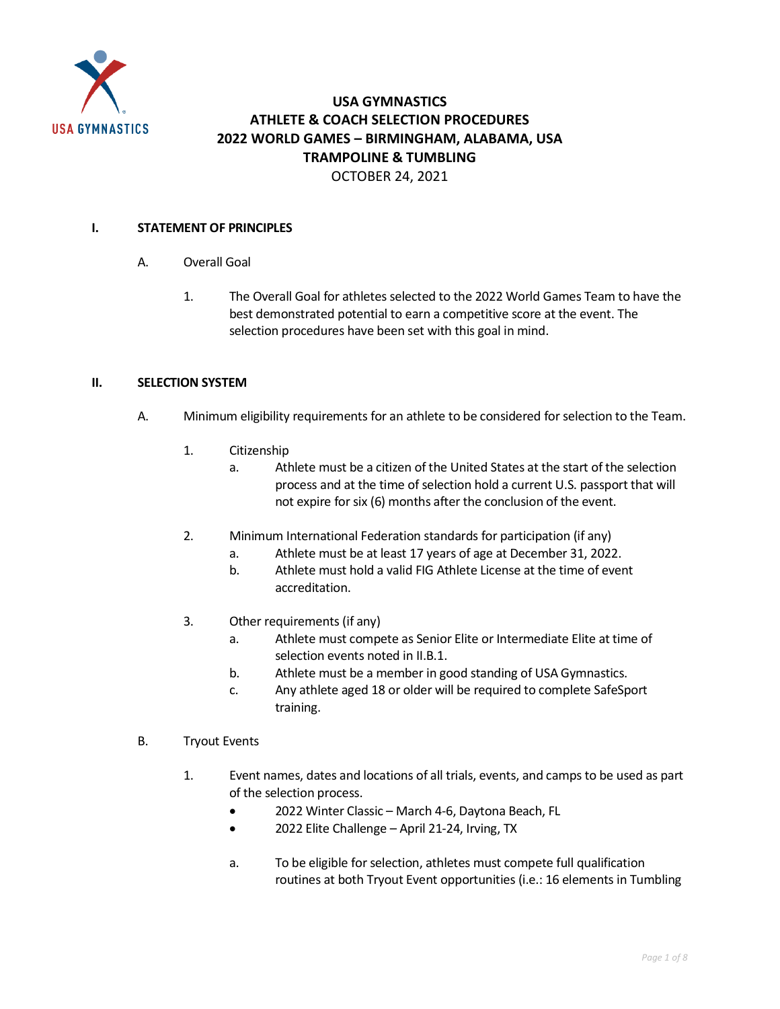

## **USA GYMNASTICS ATHLETE & COACH SELECTION PROCEDURES 2022 WORLD GAMES – BIRMINGHAM, ALABAMA, USA TRAMPOLINE & TUMBLING** OCTOBER 24, 2021

## **I. STATEMENT OF PRINCIPLES**

- A. Overall Goal
	- 1. The Overall Goal for athletes selected to the 2022 World Games Team to have the best demonstrated potential to earn a competitive score at the event. The selection procedures have been set with this goal in mind.

## **II. SELECTION SYSTEM**

- A. Minimum eligibility requirements for an athlete to be considered for selection to the Team.
	- 1. Citizenship
		- a. Athlete must be a citizen of the United States at the start of the selection process and at the time of selection hold a current U.S. passport that will not expire for six (6) months after the conclusion of the event.
	- 2. Minimum International Federation standards for participation (if any)
		- a. Athlete must be at least 17 years of age at December 31, 2022.
		- b. Athlete must hold a valid FIG Athlete License at the time of event accreditation.
	- 3. Other requirements (if any)
		- a. Athlete must compete as Senior Elite or Intermediate Elite at time of selection events noted in II.B.1.
		- b. Athlete must be a member in good standing of USA Gymnastics.
		- c. Any athlete aged 18 or older will be required to complete SafeSport training.
- B. Tryout Events
	- 1. Event names, dates and locations of all trials, events, and camps to be used as part of the selection process.
		- 2022 Winter Classic March 4-6, Daytona Beach, FL
		- 2022 Elite Challenge April 21-24, Irving, TX
		- a. To be eligible for selection, athletes must compete full qualification routines at both Tryout Event opportunities (i.e.: 16 elements in Tumbling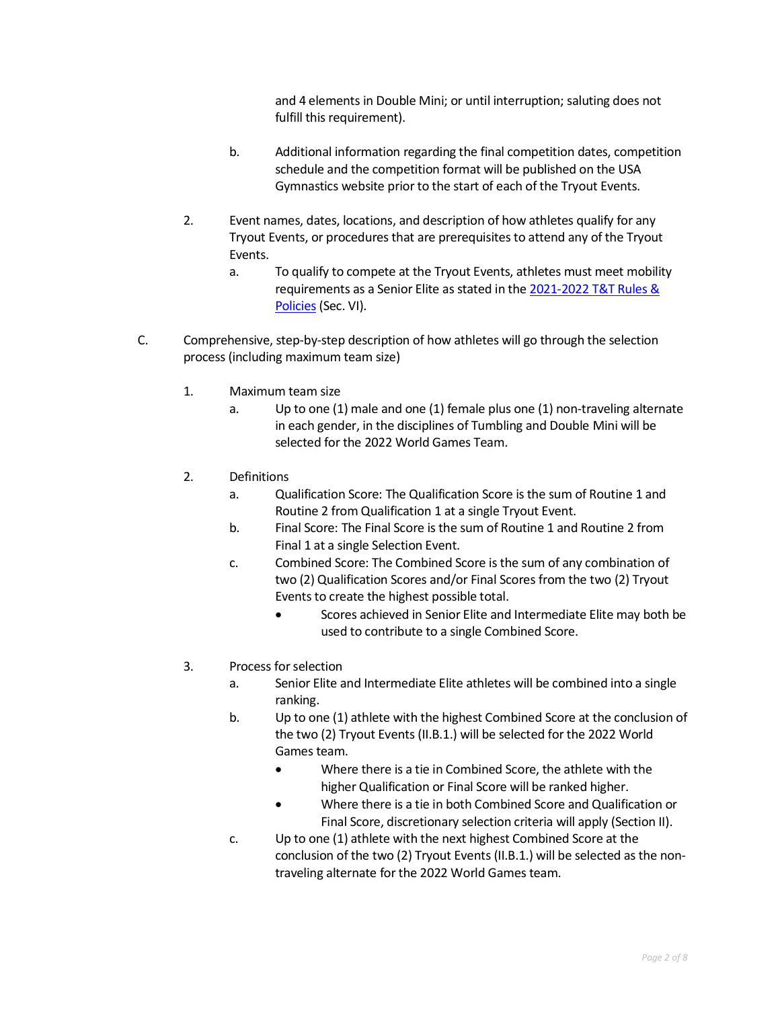and 4 elements in Double Mini; or until interruption; saluting does not fulfill this requirement).

- b. Additional information regarding the final competition dates, competition schedule and the competition format will be published on th[e USA](https://usagym.org/PDFs/T&T/T&T%20Program%20Events/20eventcalendar.pdf)  [Gymnastics website](https://usagym.org/PDFs/T&T/T&T%20Program%20Events/20eventcalendar.pdf) prior to the start of each of the Tryout Events.
- 2. Event names, dates, locations, and description of how athletes qualify for any Tryout Events, or procedures that are prerequisites to attend any of the Tryout Events.
	- a. To qualify to compete at the Tryout Events, athletes must meet mobility requirements as a Senior Elite as stated in the 2021-2022 [T&T Rules &](https://usagym.org/pages/tt/pages/rules_policies.html)  [Policies](https://usagym.org/pages/tt/pages/rules_policies.html) (Sec. VI).
- C. Comprehensive, step-by-step description of how athletes will go through the selection process (including maximum team size)
	- 1. Maximum team size
		- a. Up to one (1) male and one (1) female plus one (1) non-traveling alternate in each gender, in the disciplines of Tumbling and Double Mini will be selected for the 2022 World Games Team.
	- 2. Definitions
		- a. Qualification Score: The Qualification Score is the sum of Routine 1 and Routine 2 from Qualification 1 at a single Tryout Event.
		- b. Final Score: The Final Score is the sum of Routine 1 and Routine 2 from Final 1 at a single Selection Event.
		- c. Combined Score: The Combined Score is the sum of any combination of two (2) Qualification Scores and/or Final Scores from the two (2) Tryout Events to create the highest possible total.
			- Scores achieved in Senior Elite and Intermediate Elite may both be used to contribute to a single Combined Score.
	- 3. Process for selection
		- a. Senior Elite and Intermediate Elite athletes will be combined into a single ranking.
		- b. Up to one (1) athlete with the highest Combined Score at the conclusion of the two (2) Tryout Events (II.B.1.) will be selected for the 2022 World Games team.
			- Where there is a tie in Combined Score, the athlete with the higher Qualification or Final Score will be ranked higher.
			- Where there is a tie in both Combined Score and Qualification or Final Score, discretionary selection criteria will apply (Section II).
		- c. Up to one (1) athlete with the next highest Combined Score at the conclusion of the two (2) Tryout Events (II.B.1.) will be selected as the nontraveling alternate for the 2022 World Games team.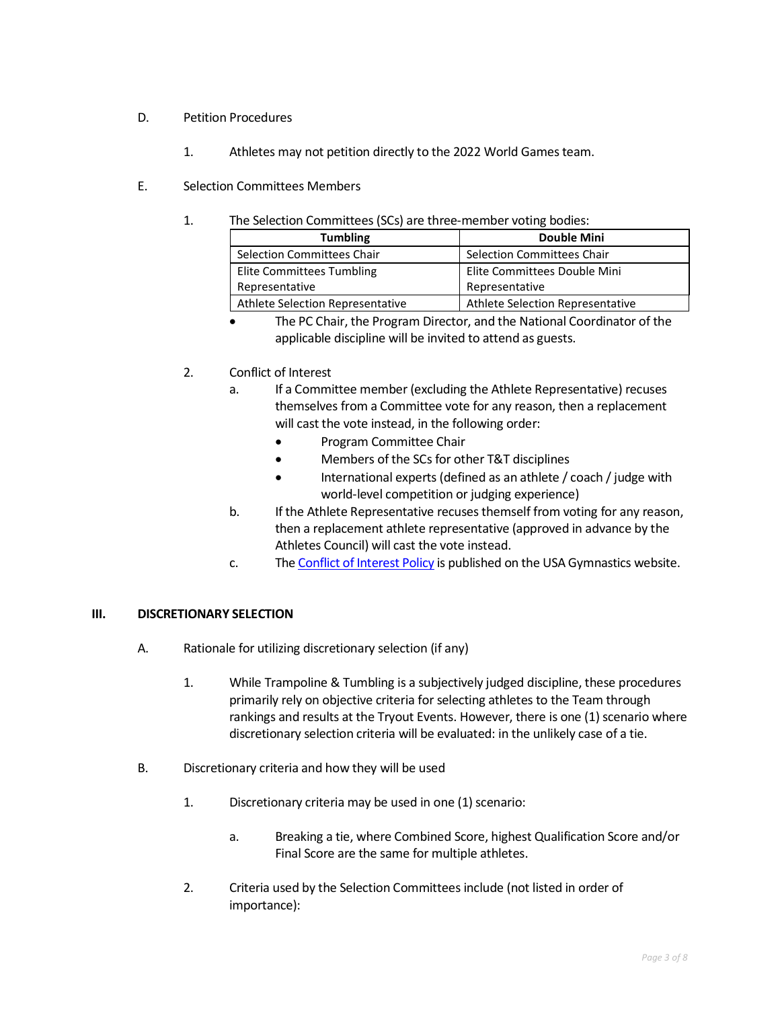## D. Petition Procedures

- 1. Athletes may not petition directly to the 2022 World Games team.
- E. Selection Committees Members
	- 1. The Selection Committees (SCs) are three-member voting bodies:

| <b>Tumbling</b>                  | <b>Double Mini</b>               |
|----------------------------------|----------------------------------|
| Selection Committees Chair       | Selection Committees Chair       |
| Elite Committees Tumbling        | Elite Committees Double Mini     |
| Representative                   | Representative                   |
| Athlete Selection Representative | Athlete Selection Representative |

- The PC Chair, the Program Director, and the National Coordinator of the applicable discipline will be invited to attend as guests.
- 2. Conflict of Interest
	- a. If a Committee member (excluding the Athlete Representative) recuses themselves from a Committee vote for any reason, then a replacement will cast the vote instead, in the following order:
		- Program Committee Chair
		- Members of the SCs for other T&T disciplines
		- International experts (defined as an athlete / coach / judge with world-level competition or judging experience)
	- b. If the Athlete Representative recuses themself from voting for any reason, then a replacement athlete representative (approved in advance by the Athletes Council) will cast the vote instead.
	- c. Th[e Conflict of Interest Policy](https://usagym.org/PDFs/Pressbox/Selection%20Procedures/conflictinterest.pdf) is published on the USA Gymnastics website.

## **III. DISCRETIONARY SELECTION**

- A. Rationale for utilizing discretionary selection (if any)
	- 1. While Trampoline & Tumbling is a subjectively judged discipline, these procedures primarily rely on objective criteria for selecting athletes to the Team through rankings and results at the Tryout Events. However, there is one (1) scenario where discretionary selection criteria will be evaluated: in the unlikely case of a tie.
- B. Discretionary criteria and how they will be used
	- 1. Discretionary criteria may be used in one (1) scenario:
		- a. Breaking a tie, where Combined Score, highest Qualification Score and/or Final Score are the same for multiple athletes.
	- 2. Criteria used by the Selection Committees include (not listed in order of importance):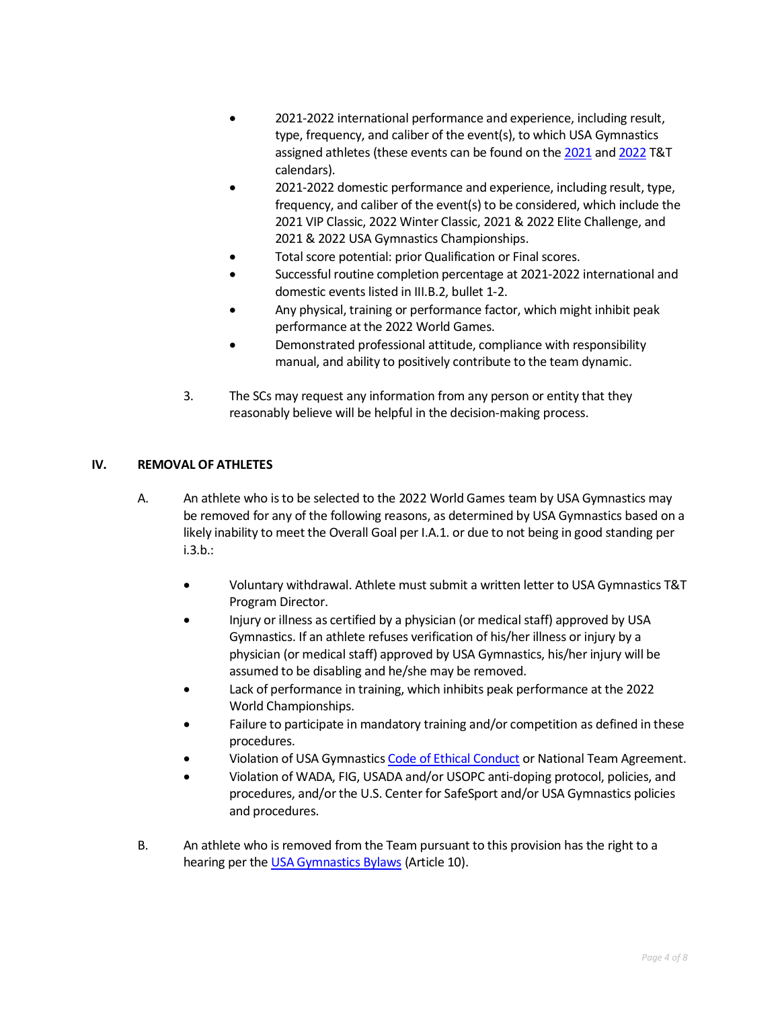- 2021-2022 international performance and experience, including result, type, frequency, and caliber of the event(s), to which USA Gymnastics assigned athletes (these events can be found on the [2021](https://usagym.org/PDFs/T&T/T&T%20Program%20Events/21eventcalendar.pdf) and [2022](https://usagym.org/PDFs/T&T/T&T%20Program%20Events/22eventcalendar.pdf) T&T calendars).
- 2021-2022 domestic performance and experience, including result, type, frequency, and caliber of the event(s) to be considered, which include the 2021 VIP Classic, 2022 Winter Classic, 2021 & 2022 Elite Challenge, and 2021 & 2022 USA Gymnastics Championships.
- Total score potential: prior Qualification or Final scores.
- Successful routine completion percentage at 2021-2022 international and domestic events listed in III.B.2, bullet 1-2.
- Any physical, training or performance factor, which might inhibit peak performance at the 2022 World Games.
- Demonstrated professional attitude, compliance with responsibility manual, and ability to positively contribute to the team dynamic.
- 3. The SCs may request any information from any person or entity that they reasonably believe will be helpful in the decision-making process.

## **IV. REMOVAL OF ATHLETES**

- A. An athlete who is to be selected to the 2022 World Games team by USA Gymnastics may be removed for any of the following reasons, as determined by USA Gymnastics based on a likely inability to meet the Overall Goal per I.A.1. or due to not being in good standing per i.3.b.:
	- Voluntary withdrawal. Athlete must submit a written letter to USA Gymnastics T&T Program Director.
	- Injury or illness as certified by a physician (or medical staff) approved by USA Gymnastics. If an athlete refuses verification of his/her illness or injury by a physician (or medical staff) approved by USA Gymnastics, his/her injury will be assumed to be disabling and he/she may be removed.
	- Lack of performance in training, which inhibits peak performance at the 2022 World Championships.
	- Failure to participate in mandatory training and/or competition as defined in these procedures.
	- Violation of USA Gymnastic[s Code of Ethical Conduct](https://www.usagym.org/pages/aboutus/pages/code_of_ethics.html) or National Team Agreement.
	- Violation of WADA, FIG, USADA and/or USOPC anti-doping protocol, policies, and procedures, and/or the U.S. Center for SafeSport and/or USA Gymnastics policies and procedures.
- B. An athlete who is removed from the Team pursuant to this provision has the right to a hearing per the [USA Gymnastics Bylaws](https://www.usagym.org/PDFs/About%20USA%20Gymnastics/Governance/usag-bylaws.pdf) (Article 10).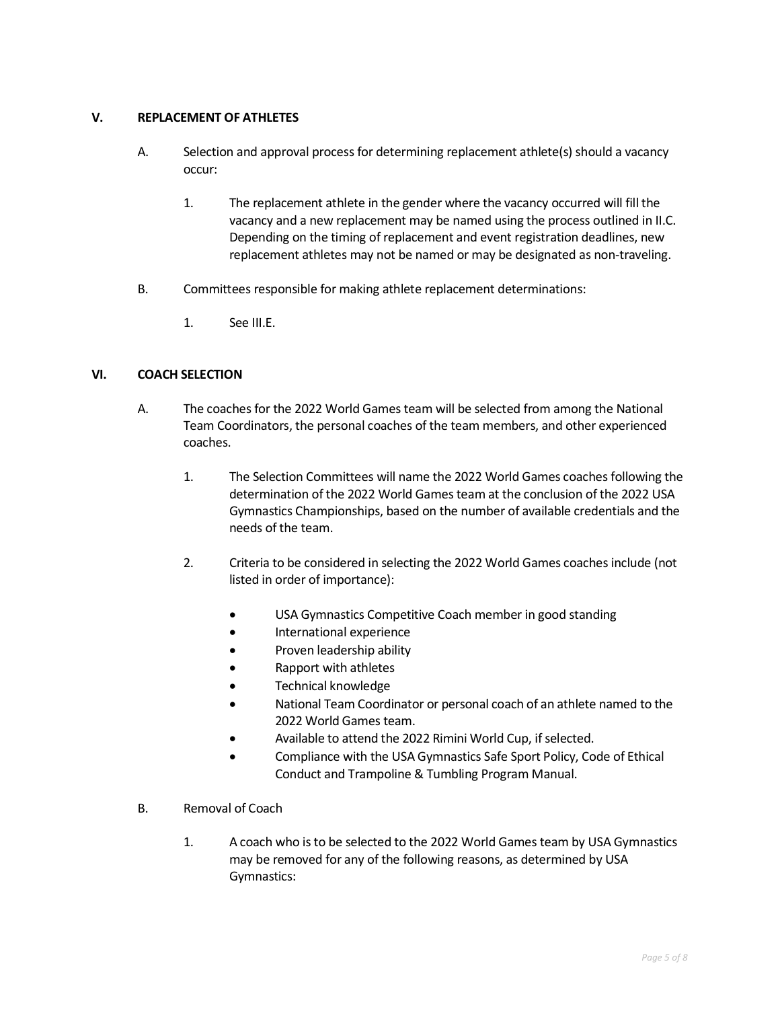## **V. REPLACEMENT OF ATHLETES**

- A. Selection and approval process for determining replacement athlete(s) should a vacancy occur:
	- 1. The replacement athlete in the gender where the vacancy occurred will fill the vacancy and a new replacement may be named using the process outlined in II.C. Depending on the timing of replacement and event registration deadlines, new replacement athletes may not be named or may be designated as non-traveling.
- B. Committees responsible for making athlete replacement determinations:
	- 1. See III.E.

## **VI. COACH SELECTION**

- A. The coaches for the 2022 World Games team will be selected from among the National Team Coordinators, the personal coaches of the team members, and other experienced coaches.
	- 1. The Selection Committees will name the 2022 World Games coaches following the determination of the 2022 World Games team at the conclusion of the 2022 USA Gymnastics Championships, based on the number of available credentials and the needs of the team.
	- 2. Criteria to be considered in selecting the 2022 World Games coaches include (not listed in order of importance):
		- USA Gymnastics Competitive Coach member in good standing
		- International experience
		- Proven leadership ability
		- Rapport with athletes
		- Technical knowledge
		- National Team Coordinator or personal coach of an athlete named to the 2022 World Games team.
		- Available to attend the 2022 Rimini World Cup, if selected.
		- Compliance with the USA Gymnastics Safe Sport Policy, Code of Ethical Conduct and Trampoline & Tumbling Program Manual.
- B. Removal of Coach
	- 1. A coach who is to be selected to the 2022 World Games team by USA Gymnastics may be removed for any of the following reasons, as determined by USA Gymnastics: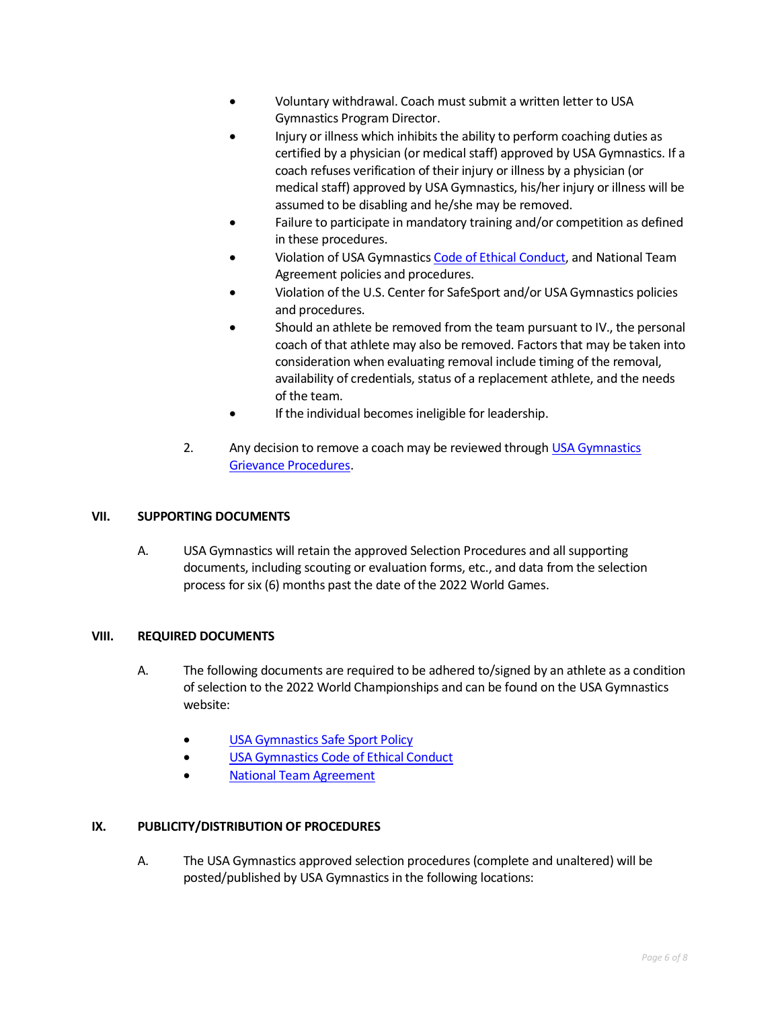- Voluntary withdrawal. Coach must submit a written letter to USA Gymnastics Program Director.
- Injury or illness which inhibits the ability to perform coaching duties as certified by a physician (or medical staff) approved by USA Gymnastics. If a coach refuses verification of their injury or illness by a physician (or medical staff) approved by USA Gymnastics, his/her injury or illness will be assumed to be disabling and he/she may be removed.
- Failure to participate in mandatory training and/or competition as defined in these procedures.
- Violation of USA Gymnastic[s Code of Ethical Conduct,](https://www.usagym.org/pages/aboutus/pages/code_of_ethics.html) and National Team Agreement policies and procedures.
- Violation of the U.S. Center for SafeSport and/or USA Gymnastics policies and procedures.
- Should an athlete be removed from the team pursuant to IV., the personal coach of that athlete may also be removed. Factors that may be taken into consideration when evaluating removal include timing of the removal, availability of credentials, status of a replacement athlete, and the needs of the team.
- If the individual becomes ineligible for leadership.
- 2. Any decision to remove a coach may be reviewed through USA Gymnastics [Grievance Procedures.](https://usagym.org/PDFs/About%20USA%20Gymnastics/Governance/grievance.pdf)

## **VII. SUPPORTING DOCUMENTS**

A. USA Gymnastics will retain the approved Selection Procedures and all supporting documents, including scouting or evaluation forms, etc., and data from the selection process for six (6) months past the date of the 2022 World Games.

## **VIII. REQUIRED DOCUMENTS**

- A. The following documents are required to be adhered to/signed by an athlete as a condition of selection to the 2022 World Championships and can be found on the USA Gymnastics website:
	- [USA Gymnastics Safe Sport Policy](http://usagym.org/pages/education/safesport/policy.html)
	- [USA Gymnastics Code of Ethical Conduct](https://www.usagym.org/pages/aboutus/pages/code_of_ethics.html)
	- [National Team Agreement](https://www.usagym.org/pages/tt/pages/selection_procedures.html)

## **IX. PUBLICITY/DISTRIBUTION OF PROCEDURES**

A. The USA Gymnastics approved selection procedures (complete and unaltered) will be posted/published by USA Gymnastics in the following locations: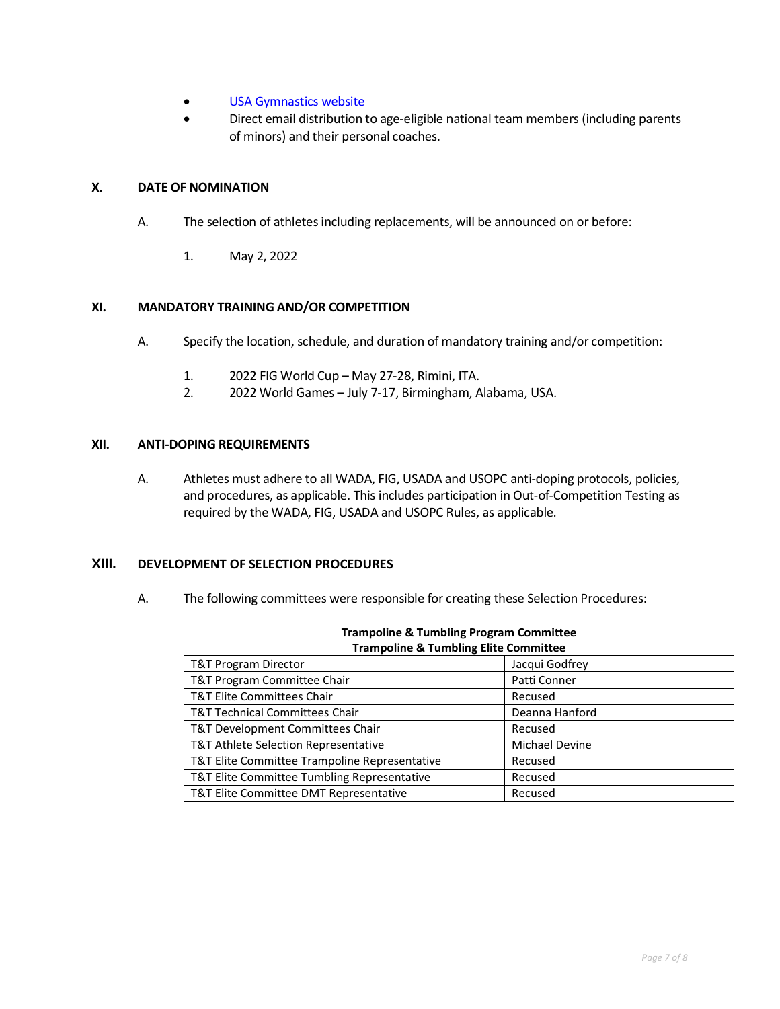- [USA Gymnastics website](http://usagym.org/pages/tt/pages/selection_procedures.html)
- Direct email distribution to age-eligible national team members (including parents of minors) and their personal coaches.

## **X. DATE OF NOMINATION**

- A. The selection of athletes including replacements, will be announced on or before:
	- 1. May 2, 2022

#### **XI. MANDATORY TRAINING AND/OR COMPETITION**

- A. Specify the location, schedule, and duration of mandatory training and/or competition:
	- 1. 2022 FIG World Cup May 27-28, Rimini, ITA.
	- 2. 2022 World Games July 7-17, Birmingham, Alabama, USA.

#### **XII. ANTI-DOPING REQUIREMENTS**

A. Athletes must adhere to all WADA, FIG, USADA and USOPC anti-doping protocols, policies, and procedures, as applicable. This includes participation in Out-of-Competition Testing as required by the WADA, FIG, USADA and USOPC Rules, as applicable.

## **XIII. DEVELOPMENT OF SELECTION PROCEDURES**

A. The following committees were responsible for creating these Selection Procedures:

| <b>Trampoline &amp; Tumbling Program Committee</b><br><b>Trampoline &amp; Tumbling Elite Committee</b> |                       |  |
|--------------------------------------------------------------------------------------------------------|-----------------------|--|
| T&T Program Director                                                                                   | Jacqui Godfrey        |  |
| T&T Program Committee Chair                                                                            | Patti Conner          |  |
| <b>T&amp;T Elite Committees Chair</b>                                                                  | Recused               |  |
| <b>T&amp;T Technical Committees Chair</b>                                                              | Deanna Hanford        |  |
| T&T Development Committees Chair                                                                       | Recused               |  |
| T&T Athlete Selection Representative                                                                   | <b>Michael Devine</b> |  |
| T&T Elite Committee Trampoline Representative                                                          | Recused               |  |
| T&T Elite Committee Tumbling Representative                                                            | Recused               |  |
| T&T Elite Committee DMT Representative                                                                 | Recused               |  |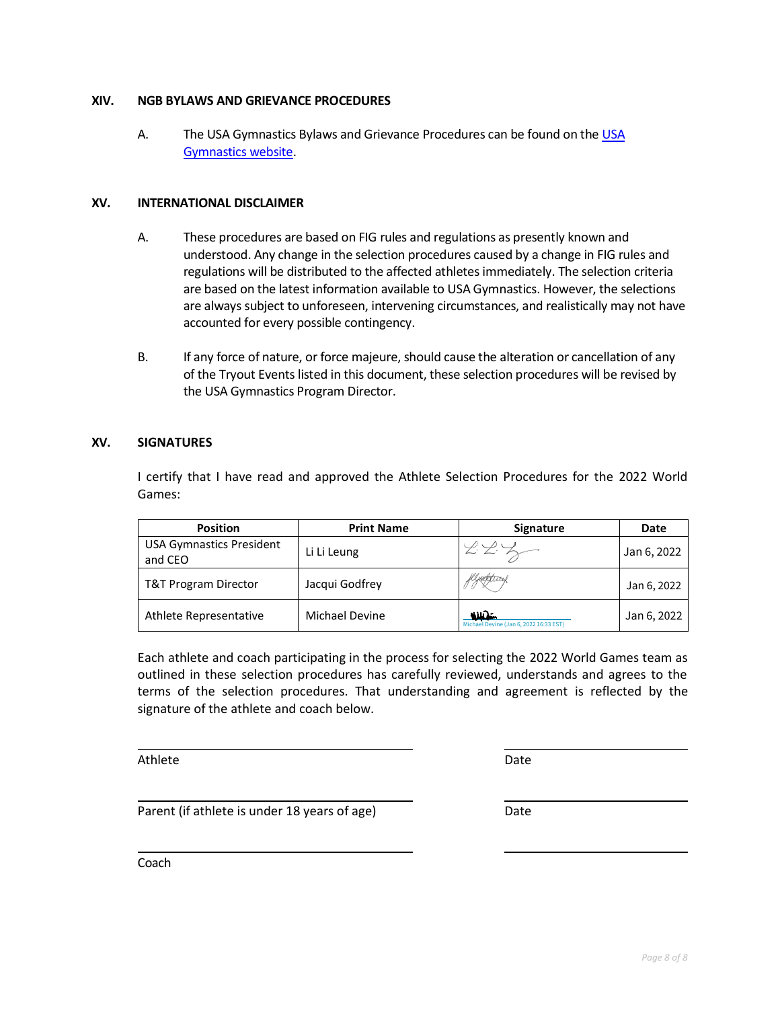## **XIV. NGB BYLAWS AND GRIEVANCE PROCEDURES**

A. The USA Gymnastics Bylaws and Grievance Procedures can be found on th[e USA](https://www.usagym.org/PDFs/About%20USA%20Gymnastics/Governance/usag-bylaws.pdf)  [Gymnastics website.](https://www.usagym.org/PDFs/About%20USA%20Gymnastics/Governance/usag-bylaws.pdf)

## **XV. INTERNATIONAL DISCLAIMER**

- A. These procedures are based on FIG rules and regulations as presently known and understood. Any change in the selection procedures caused by a change in FIG rules and regulations will be distributed to the affected athletes immediately. The selection criteria are based on the latest information available to USA Gymnastics. However, the selections are always subject to unforeseen, intervening circumstances, and realistically may not have accounted for every possible contingency.
- B. If any force of nature, or force majeure, should cause the alteration or cancellation of any of the Tryout Events listed in this document, these selection procedures will be revised by the USA Gymnastics Program Director.

## **XV. SIGNATURES**

I certify that I have read and approved the Athlete Selection Procedures for the 2022 World Games:

| <b>Position</b>                            | <b>Print Name</b> | <b>Signature</b>                                 | Date        |
|--------------------------------------------|-------------------|--------------------------------------------------|-------------|
| <b>USA Gymnastics President</b><br>and CEO | Li Li Leung       |                                                  | Jan 6, 2022 |
| T&T Program Director                       | Jacqui Godfrey    | Kljegetwax                                       | Jan 6, 2022 |
| Athlete Representative                     | Michael Devine    | حنانات<br>Michael Devine (Jan 6, 2022 16:33 EST) | Jan 6, 2022 |

Each athlete and coach participating in the process for selecting the 2022 World Games team as outlined in these selection procedures has carefully reviewed, understands and agrees to the terms of the selection procedures. That understanding and agreement is reflected by the signature of the athlete and coach below.

Athlete Date Date Date Date Date Date Date

Parent (if athlete is under 18 years of age) Date

Coach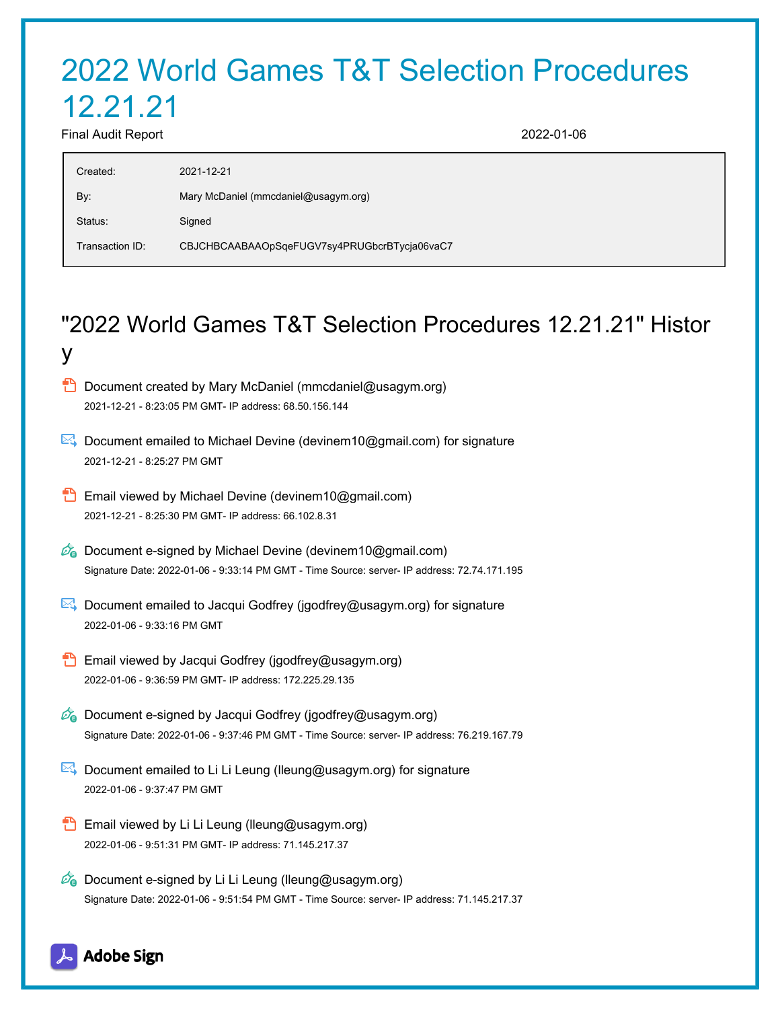# 2022 World Games T&T Selection Procedures 12.21.21 Final Audit Report 2022-01-06

| Created:        | 2021-12-21                                   |
|-----------------|----------------------------------------------|
| By:             | Mary McDaniel (mmcdaniel@usagym.org)         |
| Status:         | Signed                                       |
| Transaction ID: | CBJCHBCAABAAOpSqeFUGV7sy4PRUGbcrBTycja06vaC7 |

## "2022 World Games T&T Selection Procedures 12.21.21" Histor y

- **D** Document created by Mary McDaniel (mmcdaniel@usagym.org) 2021-12-21 - 8:23:05 PM GMT- IP address: 68.50.156.144
- Document emailed to Michael Devine (devinem10@gmail.com) for signature 2021-12-21 - 8:25:27 PM GMT
- **Email viewed by Michael Devine (devinem10@gmail.com)** 2021-12-21 - 8:25:30 PM GMT- IP address: 66.102.8.31
- $\mathbb{Z}_{\bullet}$  Document e-signed by Michael Devine (devinem10@gmail.com) Signature Date: 2022-01-06 - 9:33:14 PM GMT - Time Source: server- IP address: 72.74.171.195
- Document emailed to Jacqui Godfrey (jgodfrey@usagym.org) for signature 2022-01-06 - 9:33:16 PM GMT
- **Email viewed by Jacqui Godfrey (jgodfrey@usagym.org)** 2022-01-06 - 9:36:59 PM GMT- IP address: 172.225.29.135
- $\mathscr{O}_\mathbf{G}$  Document e-signed by Jacqui Godfrey (jgodfrey@usagym.org) Signature Date: 2022-01-06 - 9:37:46 PM GMT - Time Source: server- IP address: 76.219.167.79
- Document emailed to Li Li Leung (Ileung@usagym.org) for signature 2022-01-06 - 9:37:47 PM GMT
- **Email viewed by Li Li Leung (lleung@usagym.org)** 2022-01-06 - 9:51:31 PM GMT- IP address: 71.145.217.37
- $\mathbb{Z}_{\mathbb{Q}}$  Document e-signed by Li Li Leung (lleung@usagym.org) Signature Date: 2022-01-06 - 9:51:54 PM GMT - Time Source: server- IP address: 71.145.217.37